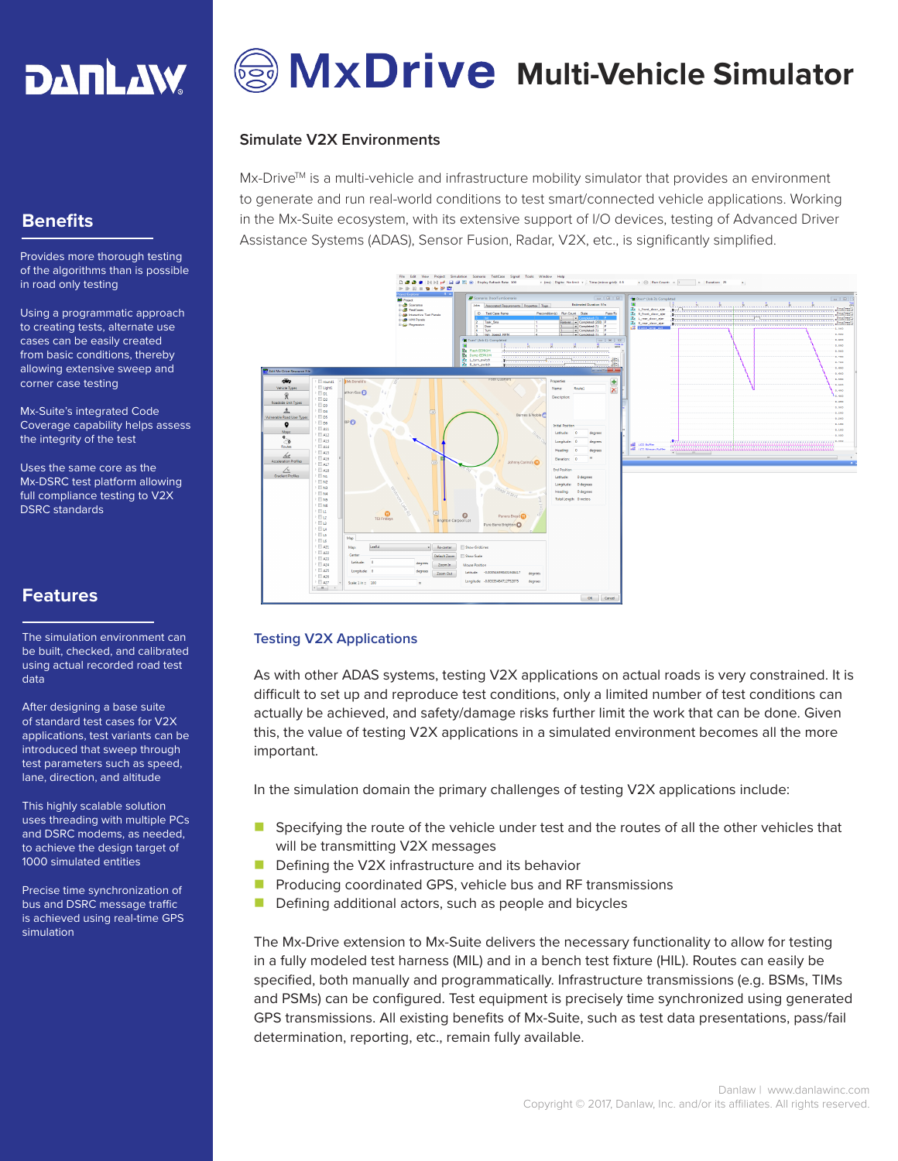

# **MxDrive** Multi-Vehicle Simulator

### **Simulate V2X Environments**

 $Mx$ -Drive<sup>TM</sup> is a multi-vehicle and infrastructure mobility simulator that provides an environment to generate and run real-world conditions to test smart/connected vehicle applications. Working in the Mx-Suite ecosystem, with its extensive support of I/O devices, testing of Advanced Driver Assistance Systems (ADAS), Sensor Fusion, Radar, V2X, etc., is significantly simplified.



#### **Testing V2X Applications**

As with other ADAS systems, testing V2X applications on actual roads is very constrained. It is difficult to set up and reproduce test conditions, only a limited number of test conditions can actually be achieved, and safety/damage risks further limit the work that can be done. Given this, the value of testing V2X applications in a simulated environment becomes all the more important.

In the simulation domain the primary challenges of testing V2X applications include:

- $\blacksquare$  Specifying the route of the vehicle under test and the routes of all the other vehicles that will be transmitting V2X messages
- $\blacksquare$  Defining the V2X infrastructure and its behavior
- $\blacksquare$  Producing coordinated GPS, vehicle bus and RF transmissions
- $\blacksquare$  Defining additional actors, such as people and bicycles

The Mx-Drive extension to Mx-Suite delivers the necessary functionality to allow for testing in a fully modeled test harness (MIL) and in a bench test fixture (HIL). Routes can easily be specified, both manually and programmatically. Infrastructure transmissions (e.g. BSMs, TIMs and PSMs) can be configured. Test equipment is precisely time synchronized using generated GPS transmissions. All existing benefits of Mx-Suite, such as test data presentations, pass/fail determination, reporting, etc., remain fully available.

# **Benefits**

Provides more thorough testing of the algorithms than is possible in road only testing

Using a programmatic approach to creating tests, alternate use cases can be easily created from basic conditions, thereby allowing extensive sweep and corner case testing

Mx-Suite's integrated Code Coverage capability helps assess the integrity of the test

Uses the same core as the Mx-DSRC test platform allowing full compliance testing to V2X DSRC standards

# **Features**

The simulation environment can be built, checked, and calibrated using actual recorded road test data

After designing a base suite of standard test cases for V2X applications, test variants can be introduced that sweep through test parameters such as speed, lane, direction, and altitude

This highly scalable solution uses threading with multiple PCs and DSRC modems, as needed, to achieve the design target of 1000 simulated entities

Precise time synchronization of bus and DSRC message traffic is achieved using real-time GPS simulation